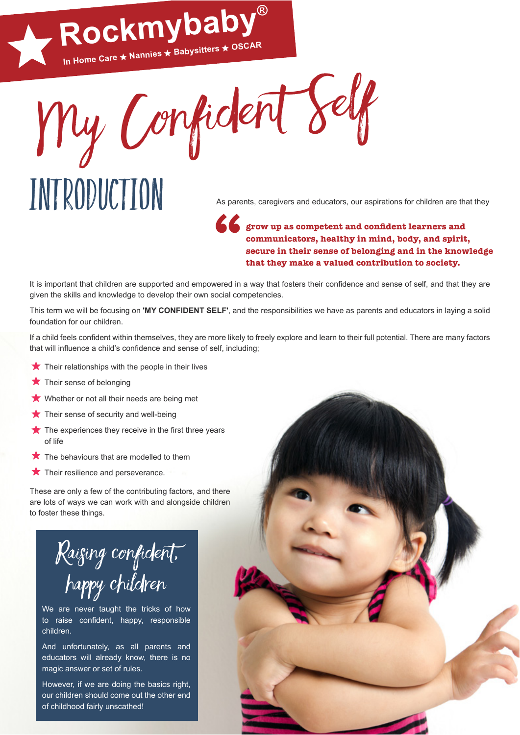My Confident Self **In Home Care Nannies Babysitters OSCAR**

**Rockmybaby®**

## INTRODUCTION As parents, caregivers and educators, our aspirations for children are that they

## **grow up as competent and confdent learners and communicators, healthy in mind, body, and spirit, secure in their sense of belonging and in the knowledge " that they make a valued contribution to society.**

It is important that children are supported and empowered in a way that fosters their confidence and sense of self, and that they are given the skills and knowledge to develop their own social competencies.

This term we will be focusing on **'MY CONFIDENT SELF'**, and the responsibilities we have as parents and educators in laying a solid foundation for our children.

If a child feels confdent within themselves, they are more likely to freely explore and learn to their full potential. There are many factors that will infuence a child's confdence and sense of self, including;

- $\bigstar$  Their relationships with the people in their lives
- $\bigstar$  Their sense of belonging
- Whether or not all their needs are being met
- $\bigstar$  Their sense of security and well-being
- $\bigstar$  The experiences they receive in the first three years of life
- $\bigstar$  The behaviours that are modelled to them
- $\bigstar$  Their resilience and perseverance.

These are only a few of the contributing factors, and there are lots of ways we can work with and alongside children to foster these things.



We are never taught the tricks of how to raise confident, happy, responsible children.

And unfortunately, as all parents and educators will already know, there is no magic answer or set of rules.

However, if we are doing the basics right, our children should come out the other end of childhood fairly unscathed!

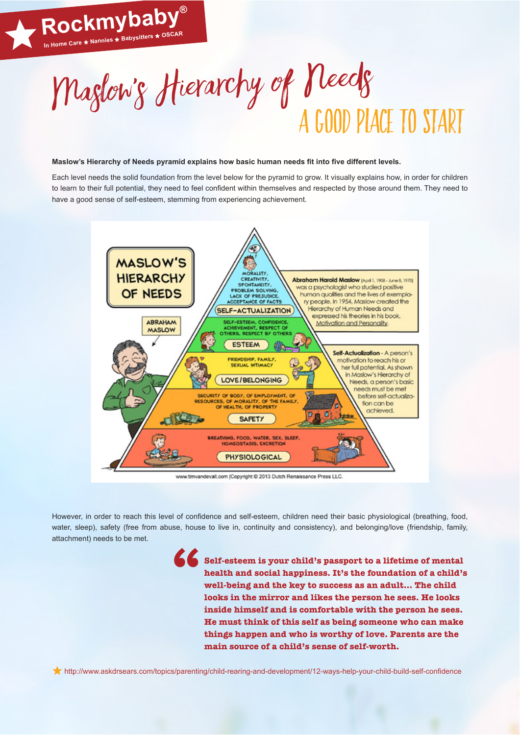

## Maslow's Hierarchy of Needs pyramid explains how basic human needs fit into five different levels.

**Rockmybaby®**

Each level needs the solid foundation from the level below for the pyramid to grow. It visually explains how, in order for children to learn to their full potential, they need to feel confdent within themselves and respected by those around them. They need to have a good sense of self-esteem, stemming from experiencing achievement.



www.timvandevall.com ICopyright @ 2013 Dutch Renaissance Press LLC.

However, in order to reach this level of confdence and self-esteem, children need their basic physiological (breathing, food, water, sleep), safety (free from abuse, house to live in, continuity and consistency), and belonging/love (friendship, family, attachment) needs to be met.

**"**

**Self-esteem is your child's passport to a lifetime of mental health and social happiness. It's the foundation of a child's well-being and the key to success as an adult… The child looks in the mirror and likes the person he sees. He looks inside himself and is comfortable with the person he sees. He must think of this self as being someone who can make things happen and who is worthy of love. Parents are the main source of a child's sense of self-worth.**

http://www.askdrsears.com/topics/parenting/child-rearing-and-development/12-ways-help-your-child-build-self-confdence